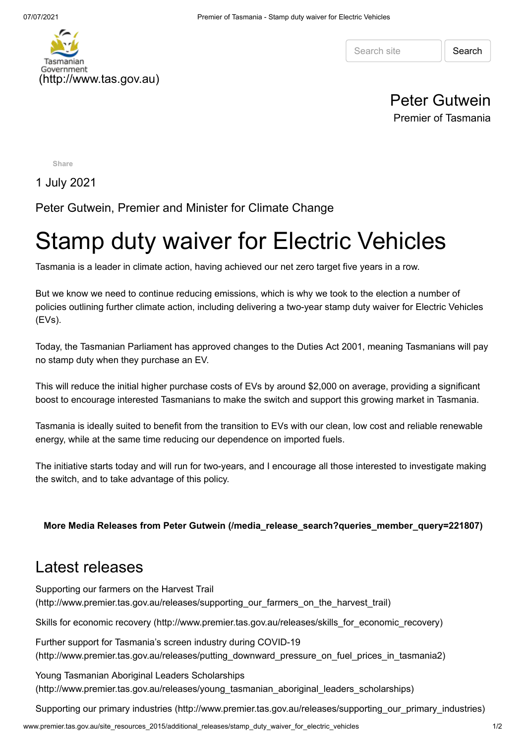

Search site | Search

## Peter Gutwein Premier of Tasmania

**[Share](https://www.facebook.com/sharer/sharer.php?kid_directed_site=0&sdk=joey&u=http%3A%2F%2Fwww.premier.tas.gov.au%2Fsite_resources_2015%2Fadditional_releases%2Fstamp_duty_waiver_for_electric_vehicles&display=popup&ref=plugin&src=share_button)**

1 July 2021

Peter Gutwein, Premier and Minister for Climate Change

## Stamp duty waiver for Electric Vehicles

Tasmania is a leader in climate action, having achieved our net zero target five years in a row.

But we know we need to continue reducing emissions, which is why we took to the election a number of policies outlining further climate action, including delivering a two-year stamp duty waiver for Electric Vehicles (EVs).

Today, the Tasmanian Parliament has approved changes to the Duties Act 2001, meaning Tasmanians will pay no stamp duty when they purchase an EV.

This will reduce the initial higher purchase costs of EVs by around \$2,000 on average, providing a significant boost to encourage interested Tasmanians to make the switch and support this growing market in Tasmania.

Tasmania is ideally suited to benefit from the transition to EVs with our clean, low cost and reliable renewable energy, while at the same time reducing our dependence on imported fuels.

The initiative starts today and will run for two-years, and I encourage all those interested to investigate making the switch, and to take advantage of this policy.

**[More Media Releases from Peter Gutwein \(/media\\_release\\_search?queries\\_member\\_query=221807\)](http://www.premier.tas.gov.au/media_release_search?queries_member_query=221807)**

## Latest releases

Supporting our farmers on the Harvest Trail [\(http://www.premier.tas.gov.au/releases/supporting\\_our\\_farmers\\_on\\_the\\_harvest\\_trail\)](http://www.premier.tas.gov.au/releases/supporting_our_farmers_on_the_harvest_trail)

[Skills for economic recovery \(http://www.premier.tas.gov.au/releases/skills\\_for\\_economic\\_recovery\)](http://www.premier.tas.gov.au/releases/skills_for_economic_recovery)

Further support for Tasmania's screen industry during COVID-19 [\(http://www.premier.tas.gov.au/releases/putting\\_downward\\_pressure\\_on\\_fuel\\_prices\\_in\\_tasmania2\)](http://www.premier.tas.gov.au/releases/putting_downward_pressure_on_fuel_prices_in_tasmania2)

Young Tasmanian Aboriginal Leaders Scholarships [\(http://www.premier.tas.gov.au/releases/young\\_tasmanian\\_aboriginal\\_leaders\\_scholarships\)](http://www.premier.tas.gov.au/releases/young_tasmanian_aboriginal_leaders_scholarships)

[Supporting our primary industries \(http://www.premier.tas.gov.au/releases/supporting\\_our\\_primary\\_industries\)](http://www.premier.tas.gov.au/releases/supporting_our_primary_industries)